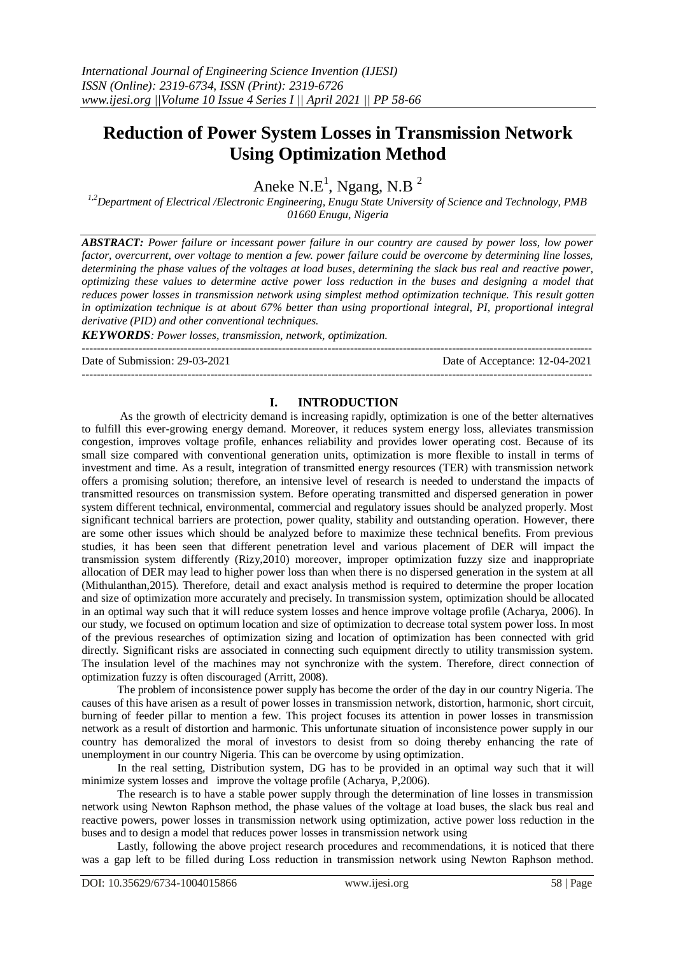# **Reduction of Power System Losses in Transmission Network Using Optimization Method**

Aneke  $N.E^1$ , Ngang, N.B<sup>2</sup>

*1,2Department of Electrical /Electronic Engineering, Enugu State University of Science and Technology, PMB 01660 Enugu, Nigeria*

*ABSTRACT: Power failure or incessant power failure in our country are caused by power loss, low power*  factor, overcurrent, over voltage to mention a few. power failure could be overcome by determining line losses, *determining the phase values of the voltages at load buses, determining the slack bus real and reactive power, optimizing these values to determine active power loss reduction in the buses and designing a model that reduces power losses in transmission network using simplest method optimization technique. This result gotten in optimization technique is at about 67% better than using proportional integral, PI, proportional integral derivative (PID) and other conventional techniques.*

*KEYWORDS: Power losses, transmission, network, optimization.*

--------------------------------------------------------------------------------------------------------------------------------------- Date of Submission: 29-03-2021 Date of Acceptance: 12-04-2021

# **I. INTRODUCTION**

---------------------------------------------------------------------------------------------------------------------------------------

As the growth of electricity demand is increasing rapidly, optimization is one of the better alternatives to fulfill this ever-growing energy demand. Moreover, it reduces system energy loss, alleviates transmission congestion, improves voltage profile, enhances reliability and provides lower operating cost. Because of its small size compared with conventional generation units, optimization is more flexible to install in terms of investment and time. As a result, integration of transmitted energy resources (TER) with transmission network offers a promising solution; therefore, an intensive level of research is needed to understand the impacts of transmitted resources on transmission system. Before operating transmitted and dispersed generation in power system different technical, environmental, commercial and regulatory issues should be analyzed properly. Most significant technical barriers are protection, power quality, stability and outstanding operation. However, there are some other issues which should be analyzed before to maximize these technical benefits. From previous studies, it has been seen that different penetration level and various placement of DER will impact the transmission system differently (Rizy,2010) moreover, improper optimization fuzzy size and inappropriate allocation of DER may lead to higher power loss than when there is no dispersed generation in the system at all (Mithulanthan,2015). Therefore, detail and exact analysis method is required to determine the proper location and size of optimization more accurately and precisely. In transmission system, optimization should be allocated in an optimal way such that it will reduce system losses and hence improve voltage profile (Acharya, 2006). In our study, we focused on optimum location and size of optimization to decrease total system power loss. In most of the previous researches of optimization sizing and location of optimization has been connected with grid directly. Significant risks are associated in connecting such equipment directly to utility transmission system. The insulation level of the machines may not synchronize with the system. Therefore, direct connection of optimization fuzzy is often discouraged (Arritt, 2008).

The problem of inconsistence power supply has become the order of the day in our country Nigeria. The causes of this have arisen as a result of power losses in transmission network, distortion, harmonic, short circuit, burning of feeder pillar to mention a few. This project focuses its attention in power losses in transmission network as a result of distortion and harmonic. This unfortunate situation of inconsistence power supply in our country has demoralized the moral of investors to desist from so doing thereby enhancing the rate of unemployment in our country Nigeria. This can be overcome by using optimization.

In the real setting, Distribution system, DG has to be provided in an optimal way such that it will minimize system losses and improve the voltage profile (Acharya, P,2006).

The research is to have a stable power supply through the determination of line losses in transmission network using Newton Raphson method, the phase values of the voltage at load buses, the slack bus real and reactive powers, power losses in transmission network using optimization, active power loss reduction in the buses and to design a model that reduces power losses in transmission network using

Lastly, following the above project research procedures and recommendations, it is noticed that there was a gap left to be filled during Loss reduction in transmission network using Newton Raphson method.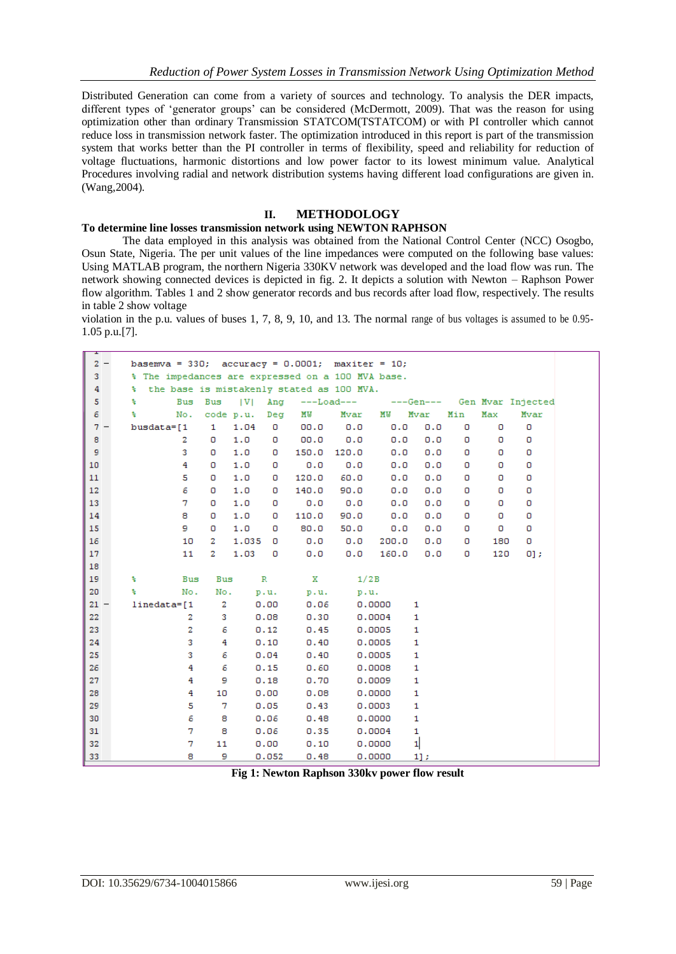Distributed Generation can come from a variety of sources and technology. To analysis the DER impacts, different types of 'generator groups' can be considered (McDermott, 2009). That was the reason for using optimization other than ordinary Transmission STATCOM(TSTATCOM) or with PI controller which cannot reduce loss in transmission network faster. The optimization introduced in this report is part of the transmission system that works better than the PI controller in terms of flexibility, speed and reliability for reduction of voltage fluctuations, harmonic distortions and low power factor to its lowest minimum value. Analytical Procedures involving radial and network distribution systems having different load configurations are given in. (Wang,2004).

## **II. METHODOLOGY**

# **To determine line losses transmission network using NEWTON RAPHSON**

The data employed in this analysis was obtained from the National Control Center (NCC) Osogbo, Osun State, Nigeria. The per unit values of the line impedances were computed on the following base values: Using MATLAB program, the northern Nigeria 330KV network was developed and the load flow was run. The network showing connected devices is depicted in fig. 2. It depicts a solution with Newton – Raphson Power flow algorithm. Tables 1 and 2 show generator records and bus records after load flow, respectively. The results in table 2 show voltage

violation in the p.u. values of buses 1, 7, 8, 9, 10, and 13. The normal range of bus voltages is assumed to be 0.95- 1.05 p.u.[7].

| <b>.</b> |   |                                                          |           |       |              |                           |       |        |           |     |     |                   |
|----------|---|----------------------------------------------------------|-----------|-------|--------------|---------------------------|-------|--------|-----------|-----|-----|-------------------|
| $2 -$    |   | basemva = $330$ ; accuracy = $0.0001$ ; maxiter = $10$ ; |           |       |              |                           |       |        |           |     |     |                   |
| 3        |   | % The impedances are expressed on a 100 MVA base.        |           |       |              |                           |       |        |           |     |     |                   |
| 4        | ÷ | the base is mistakenly stated as 100 MVA.                |           |       |              |                           |       |        |           |     |     |                   |
| 5        | ÷ | Bus                                                      | Bus       | V     |              | Ang ---Load--- ----Gen--- |       |        |           |     |     | Gen Mvar Injected |
| 6        | ÷ | No.                                                      | code p.u. |       | Deg          | MW                        | Mvar  | MW     | Mvar      | Min | Max | Mvar              |
| $7 -$    |   | busdata=[1                                               | 1         | 1.04  | O            | 00.0                      | 0.0   | 0.0    | 0.0       | O   | o   | 0                 |
| 8        |   | 2                                                        | 0         | 1.0   | o            | 00.0                      | 0.0   | 0.0    | 0.0       | о   | o   | o                 |
| 9        |   | 3                                                        | o         | 1.0   | o            | 150.0                     | 120.0 | 0.0    | 0.0       | 0   | 0   | o                 |
| 10       |   | 4                                                        | 0         | 1.0   | o            | 0.0                       | 0.0   | 0.0    | 0.0       | о   | o   | 0                 |
| 11       |   | 5                                                        | о         | 1.0   | 0            | 120.0                     | 60.0  | 0.0    | 0.0       | о   | 0   | 0                 |
| 12       |   | 6                                                        | 0         | 1.0   | o            | 140.0                     | 90.0  | 0.0    | 0.0       | 0   | o   | 0                 |
| 13       |   | 7                                                        | о         | 1.0   | 0            | 0.0                       | 0.0   | 0.0    | 0.0       | о   | o   | 0                 |
| 14       |   | 8                                                        | 0         | 1.0   | o            | 110.0                     | 90.0  | 0.0    | 0.0       | 0   | o   | 0                 |
| 15       |   | 9.                                                       | 0         | 1.0   | o            | 80.0                      | 50.0  | 0.0    | 0.0       | 0   | o   | 0                 |
| 16       |   | 10                                                       | 2         | 1.035 | o            | 0.0                       | 0.0   | 200.0  | 0.0       | 0   | 180 | 0                 |
| 17       |   | 11                                                       | 2         | 1.03  | o            | 0.0                       | 0.0   | 160.0  | 0.0       | 0   | 120 | $0]$ ;            |
| 18       |   |                                                          |           |       |              |                           |       |        |           |     |     |                   |
| 19       | ÷ | Bus                                                      | Bus       |       | $\mathbb{R}$ | x                         |       | 1/2B   |           |     |     |                   |
| 20       | ÷ | No.                                                      | No.       |       | p.u.         | p.u.                      |       | p.u.   |           |     |     |                   |
| $21 -$   |   | $linedata=[1]$                                           | 2         |       | 0.00         | 0.06                      |       | 0.0000 | 1         |     |     |                   |
| 22       |   | 2                                                        | 3         |       | 0.08         | 0.30                      |       | 0.0004 | 1         |     |     |                   |
| 23       |   | 2                                                        | 6         |       | 0.12         | 0.45                      |       | 0.0005 | 1         |     |     |                   |
| 24       |   | 3                                                        | 4         |       | 0.10         | 0.40                      |       | 0.0005 | 1         |     |     |                   |
| 25       |   | 3                                                        | 6         |       | 0.04         | 0.40                      |       | 0.0005 | 1         |     |     |                   |
| 26       |   | 4                                                        | 6         |       | 0.15         | 0.60                      |       | 0.0008 | 1         |     |     |                   |
| 27       |   | 4                                                        | 9         |       | 0.18         | 0.70                      |       | 0.0009 | 1         |     |     |                   |
| 28       |   | 4                                                        | 10        |       | 0.00         | 0.08                      |       | 0.0000 | 1         |     |     |                   |
| 29       |   | 5                                                        | 7         |       | 0.05         | 0.43                      |       | 0.0003 | 1         |     |     |                   |
| 30       |   | 6                                                        | 8         |       | 0.06         | 0.48                      |       | 0.0000 | 1         |     |     |                   |
| 31       |   | 7                                                        | 8         |       | 0.06         | 0.35                      |       | 0.0004 | 1         |     |     |                   |
| 32       |   | 7                                                        | 11        |       | 0.00         | 0.10                      |       | 0.0000 | 1         |     |     |                   |
| 33       |   | 8                                                        | 9         |       | 0.052        | 0.48                      |       | 0.0000 | $1$ $\pm$ |     |     |                   |

**Fig 1: Newton Raphson 330kv power flow result**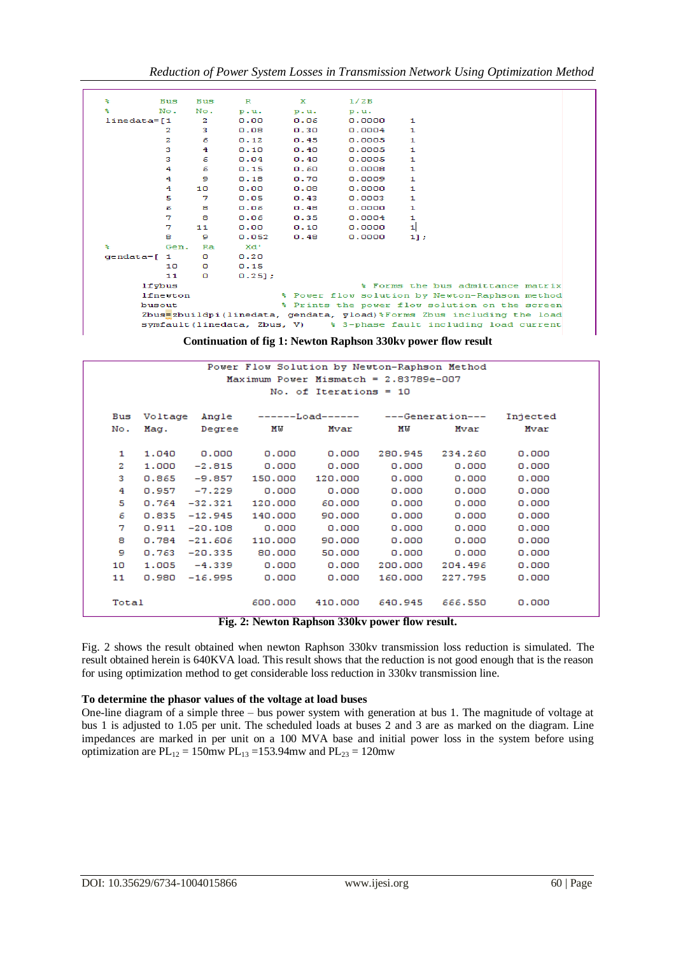| ÷               | <b>Bus</b> | <b>Bus</b> | $\mathbf{R}$ | x    | 1/2B   |                                                                       |
|-----------------|------------|------------|--------------|------|--------|-----------------------------------------------------------------------|
| ÷               | No.        | No.        | p.u.         | p.u. | p.u.   |                                                                       |
| $linedata=1$    |            | 2          | 0.00         | 0.06 | 0.0000 | 1                                                                     |
|                 | 2          | з          | 0.08         | 0.30 | 0.0004 | 1                                                                     |
|                 | 2          | 6          | 0.12         | 0.45 | 0.0005 | 1                                                                     |
|                 | 3          | 4          | 0.10         | 0.40 | 0.0005 | 1                                                                     |
|                 | з          | 6          | 0.04         | 0.40 | 0.0005 | 1                                                                     |
|                 | 4          | 6          | 0.15         | 0.60 | 0.0008 | 1                                                                     |
|                 | 4          | 9          | 0.18         | 0.70 | 0.0009 | 1                                                                     |
|                 | 4          | 10         | 0.00         | 0.08 | 0.0000 | 1                                                                     |
|                 | 5          | 7          | 0.05         | 0.43 | 0.0003 | 1                                                                     |
|                 | 6          | 8          | 0.06         | 0.48 | 0.0000 | 1                                                                     |
|                 | 7          | 8          | 0.06         | 0.35 | 0.0004 | 1                                                                     |
|                 | 7          | 11         | 0.00         | 0.10 | 0.0000 | 1                                                                     |
|                 | 8          | 9          | 0.052        | 0.48 | 0.0000 | 1];                                                                   |
| ÷               | Gen.       | Ra         | xd'          |      |        |                                                                       |
| $qendata = [ 1$ |            | o          | 0.20         |      |        |                                                                       |
|                 | 10         | o          | 0.15         |      |        |                                                                       |
|                 | 11         | o          | 0.251:       |      |        |                                                                       |
|                 | $1f$ ybus  |            |              |      |        | % Forms the bus admittance matrix                                     |
|                 | lfnewton   |            |              |      |        | * Power flow solution by Newton-Raphson method                        |
|                 | busout     |            |              |      |        | * Prints the power flow solution on the screen                        |
|                 |            |            |              |      |        | Zbus=zbuildpi(linedata, gendata, yload)%Forms Zbus including the load |
|                 |            |            |              |      |        | symfault (linedata, Zbus, V) % 3-phase fault including load current   |
|                 |            |            |              |      |        |                                                                       |

**Continuation of fig 1: Newton Raphson 330kv power flow result**

|                                                                        | Power Flow Solution by Newton-Raphson Method |           |         |                  |         |                  |          |  |  |
|------------------------------------------------------------------------|----------------------------------------------|-----------|---------|------------------|---------|------------------|----------|--|--|
|                                                                        | Maximum Power Mismatch = $2.83789e - 007$    |           |         |                  |         |                  |          |  |  |
|                                                                        | No. of Iterations = $10$                     |           |         |                  |         |                  |          |  |  |
|                                                                        |                                              |           |         |                  |         |                  |          |  |  |
| Bus                                                                    | Voltage                                      | Angle     |         | ------Load------ |         | ---Generation--- | Injected |  |  |
| No.                                                                    | Mag.                                         | Degree    | MU      | Mvar             | ΜW      | Mvar             | Mvar     |  |  |
|                                                                        |                                              |           |         |                  |         |                  |          |  |  |
| 1                                                                      | 1,040                                        | 0.000     | 0.000   | 0.000            | 280.945 | 234.260          | 0.000    |  |  |
| 2                                                                      | 1,000                                        | $-2.815$  | 0.000   | 0.000            | 0.000   | 0.000            | 0.000    |  |  |
| 3                                                                      | 0.865                                        | $-9.857$  | 150,000 | 120,000          | 0.000   | 0.000            | 0.000    |  |  |
| 4                                                                      | 0.957                                        | $-7.229$  | 0.000   | 0.000            | 0.000   | 0.000            | 0.000    |  |  |
| 5                                                                      | 0.764                                        | $-32.321$ | 120,000 | 60,000           | 0.000   | 0.000            | 0.000    |  |  |
| 6                                                                      | 0.835                                        | $-12.945$ | 140,000 | 90.000           | 0.000   | 0.000            | 0.000    |  |  |
| 7                                                                      | 0.911                                        | $-20.108$ | 0.000   | 0.000            | 0.000   | 0.000            | 0.000    |  |  |
| 8                                                                      | 0.784                                        | $-21.606$ | 110,000 | 90,000           | 0.000   | 0.000            | 0.000    |  |  |
| 9                                                                      | 0.763                                        | $-20.335$ | 80.000  | 50.000           | 0.000   | 0.000            | 0.000    |  |  |
| 10                                                                     | 1.005                                        | $-4.339$  | 0.000   | 0.000            | 200.000 | 204.496          | 0.000    |  |  |
| 11                                                                     | 0.980                                        | $-16.995$ | 0.000   | 0.000            | 160,000 | 227.795          | 0.000    |  |  |
|                                                                        |                                              |           |         |                  |         |                  |          |  |  |
| Total                                                                  |                                              |           | 600,000 | 410,000          | 640.945 | 666.550          | 0.000    |  |  |
| $A.$ M $A$ $B - 1$ $B - 1$ $C = 2201 - 1$<br>$\mathbf{E}^{\mathbf{a}}$ |                                              |           |         |                  |         |                  |          |  |  |

**Fig. 2: Newton Raphson 330kv power flow result.**

Fig. 2 shows the result obtained when newton Raphson 330kv transmission loss reduction is simulated. The result obtained herein is 640KVA load. This result shows that the reduction is not good enough that is the reason for using optimization method to get considerable loss reduction in 330kv transmission line.

## **To determine the phasor values of the voltage at load buses**

One-line diagram of a simple three – bus power system with generation at bus 1. The magnitude of voltage at bus 1 is adjusted to 1.05 per unit. The scheduled loads at buses 2 and 3 are as marked on the diagram. Line impedances are marked in per unit on a 100 MVA base and initial power loss in the system before using optimization are  $PL_{12} = 150$  mw  $PL_{13} = 153.94$  mw and  $PL_{23} = 120$  mw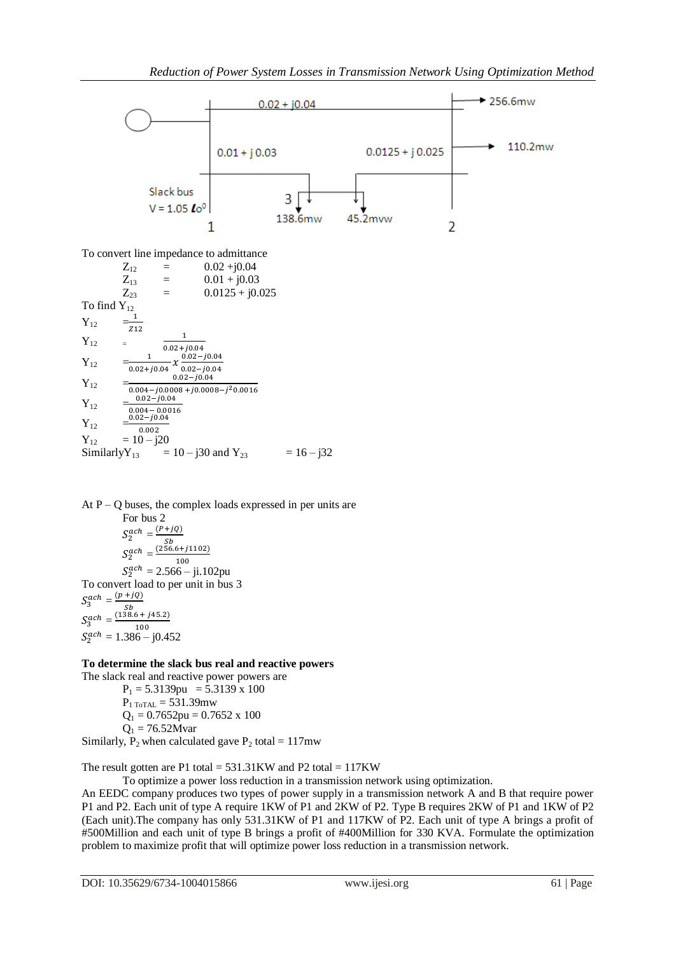

$$
Y_{12} = \frac{0.02 - j0.04}{0.004 - 0.0016}
$$
  
\n
$$
Y_{12} = \frac{0.02 - j0.04}{0.002}
$$
  
\n
$$
Y_{12} = 10 - j20
$$
  
\nSimilarly  $Y_{13} = 10 - j30$  and  $Y_{23} = 16 - j32$ 

At  $P - Q$  buses, the complex loads expressed in per units are For bus 2  $S_2^{ach} = \frac{0}{1}$  $rac{S}{(25)}$  $S_2^{ach} =$ 100  $S_2^{ach} = 2.566 - ji.102pu$ To convert load to per unit in bus 3  $S_3^{ach} = \frac{0}{1}$  $\mathit{Sb}$  $S_3^{ach} =$  $(138.6 + j45.2)$ 100  $S_2^{ach} = 1.386 - j0.452$ 

#### **To determine the slack bus real and reactive powers** The slack real and reactive power powers are

 $P_1 = 5.3139$ pu = 5.3139 x 100  $P_{1 To TAL} = 531.39$ mw  $Q_1 = 0.7652$ pu = 0.7652 x 100  $Q_1 = 76.52Mvar$ Similarly,  $P_2$  when calculated gave  $P_2$  total = 117mw

The result gotten are P1 total =  $531.31KW$  and P2 total =  $117KW$ To optimize a power loss reduction in a transmission network using optimization.

An EEDC company produces two types of power supply in a transmission network A and B that require power P1 and P2. Each unit of type A require 1KW of P1 and 2KW of P2. Type B requires 2KW of P1 and 1KW of P2 (Each unit).The company has only 531.31KW of P1 and 117KW of P2. Each unit of type A brings a profit of #500Million and each unit of type B brings a profit of #400Million for 330 KVA. Formulate the optimization problem to maximize profit that will optimize power loss reduction in a transmission network.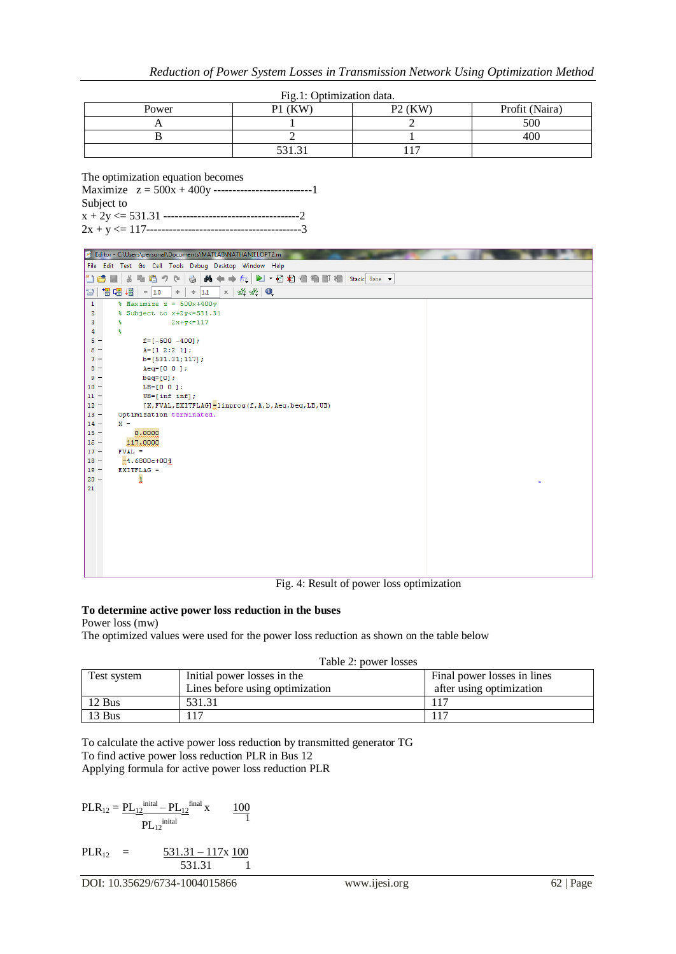| $- - - -$ |                        |                                 |                |  |  |  |
|-----------|------------------------|---------------------------------|----------------|--|--|--|
| Power     | $\angle$ (KW)<br>P1    | $P2$ (KW)                       | Profit (Naira) |  |  |  |
|           |                        |                                 | 500            |  |  |  |
|           |                        |                                 | 400            |  |  |  |
|           | 52121<br><u>JJI.JI</u> | $\overline{\phantom{a}}$<br>. . |                |  |  |  |

#### The optimization equation becomes

Maximize z = 500x + 400y --------------------------1 Subject to x + 2y <= 531.31 ------------------------------------2

2x + y <= 117-----------------------------------------3



Fig. 4: Result of power loss optimization

## **To determine active power loss reduction in the buses**

Power loss (mw)

The optimized values were used for the power loss reduction as shown on the table below

| Table 2: power losses |  |  |
|-----------------------|--|--|
|-----------------------|--|--|

| Test system | Initial power losses in the     | Final power losses in lines |
|-------------|---------------------------------|-----------------------------|
|             | Lines before using optimization | after using optimization    |
| 12 Bus      | 531.31                          |                             |
| 13 Bus      | 17ء                             |                             |

To calculate the active power loss reduction by transmitted generator TG To find active power loss reduction PLR in Bus 12 Applying formula for active power loss reduction PLR

$$
PLR_{12} = \underbrace{PL_{12}^{\text{initial}} - PL_{12}^{\text{final}}} \mathbf{x}
$$
 
$$
100
$$

$$
PL_{12}^{\text{initial}}
$$

PLR<sub>12</sub> = 
$$
\frac{531.31 - 117x}{531.31} \frac{100}{1}
$$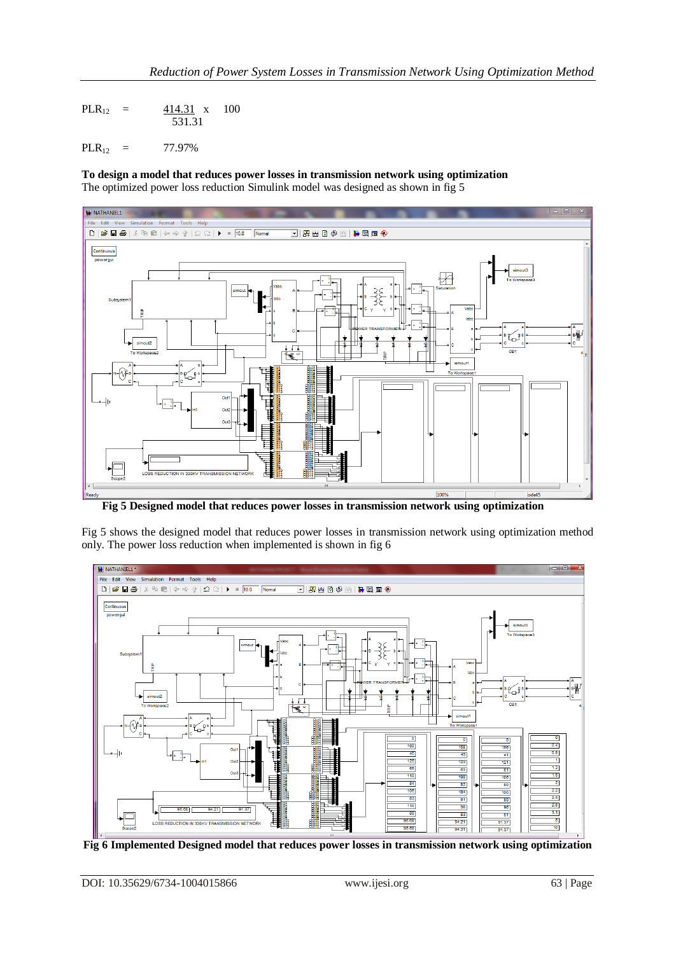PLR<sub>12</sub> =  $\frac{414.31}{100}$  x 100 531.31

 $PLR_{12} = 77.97\%$ 

**To design a model that reduces power losses in transmission network using optimization** The optimized power loss reduction Simulink model was designed as shown in fig 5



**Fig 5 Designed model that reduces power losses in transmission network using optimization**

Fig 5 shows the designed model that reduces power losses in transmission network using optimization method only. The power loss reduction when implemented is shown in fig 6



**Fig 6 Implemented Designed model that reduces power losses in transmission network using optimization**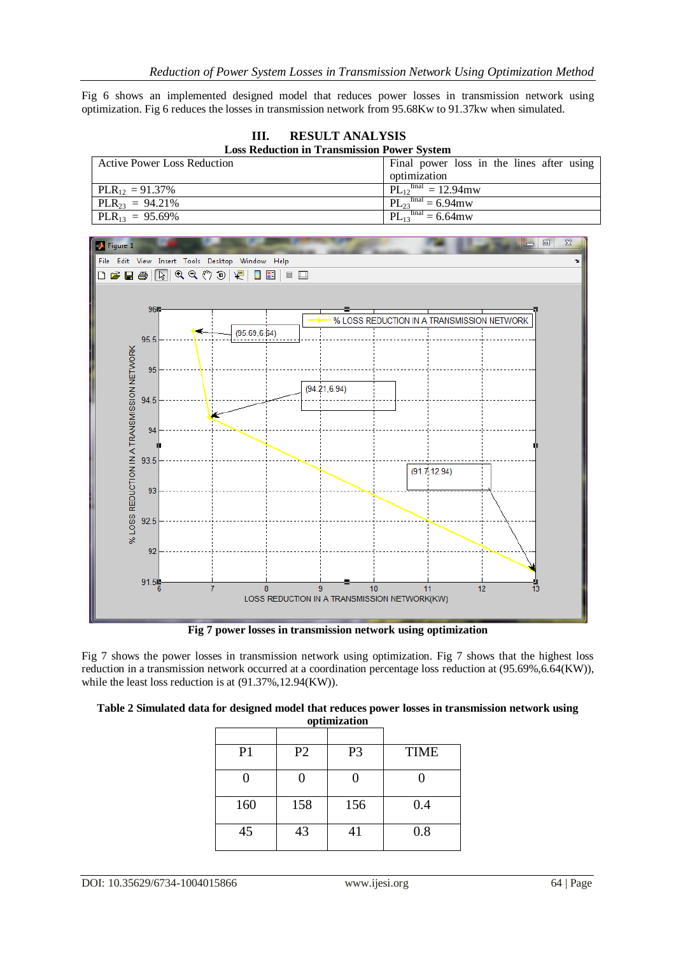Fig 6 shows an implemented designed model that reduces power losses in transmission network using optimization. Fig 6 reduces the losses in transmission network from 95.68Kw to 91.37kw when simulated.

**III. RESULT ANALYSIS Loss Reduction in Transmission Power System** 

| $-$ 0.000 $-$ 0.000 $-$ 0.000 $-$ 0.000 $-$ 0.000 $-$ 0.000 $-$ 0.000 $-$ 0.000 $-$ 0.000 $-$ 0.000 $-$ 0.000 $-$ 0.000 $-$ 0.000 $-$ 0.000 $-$ 0.000 $-$ 0.000 $-$ 0.000 $-$ 0.000 $-$ 0.000 $-$ 0.000 $-$ 0.000 $-$ 0.000 |                                           |  |  |  |  |  |  |
|-----------------------------------------------------------------------------------------------------------------------------------------------------------------------------------------------------------------------------|-------------------------------------------|--|--|--|--|--|--|
| <b>Active Power Loss Reduction</b>                                                                                                                                                                                          | Final power loss in the lines after using |  |  |  |  |  |  |
|                                                                                                                                                                                                                             | optimization                              |  |  |  |  |  |  |
| $PLR_{12} = 91.37\%$                                                                                                                                                                                                        | $PL_{12}^{final} = 12.94$ mw              |  |  |  |  |  |  |
| $PLR_{23} = 94.21\%$                                                                                                                                                                                                        | $PL_{23}^{final} = 6.94$ mw               |  |  |  |  |  |  |
| $PLR_{13} = 95.69\%$                                                                                                                                                                                                        | $PL_{13}^{final} = 6.64$ mw               |  |  |  |  |  |  |



**Fig 7 power losses in transmission network using optimization**

Fig 7 shows the power losses in transmission network using optimization. Fig 7 shows that the highest loss reduction in a transmission network occurred at a coordination percentage loss reduction at (95.69%,6.64(KW)), while the least loss reduction is at (91.37%,12.94(KW)).

| Table 2 Simulated data for designed model that reduces power losses in transmission network using |  |
|---------------------------------------------------------------------------------------------------|--|
| optimization                                                                                      |  |

| P <sub>1</sub> | P <sub>2</sub> | P <sub>3</sub> | <b>TIME</b> |
|----------------|----------------|----------------|-------------|
|                |                |                |             |
| 160            | 158            | 156            | 0.4         |
| 45             | 43             | 41             | 0.8         |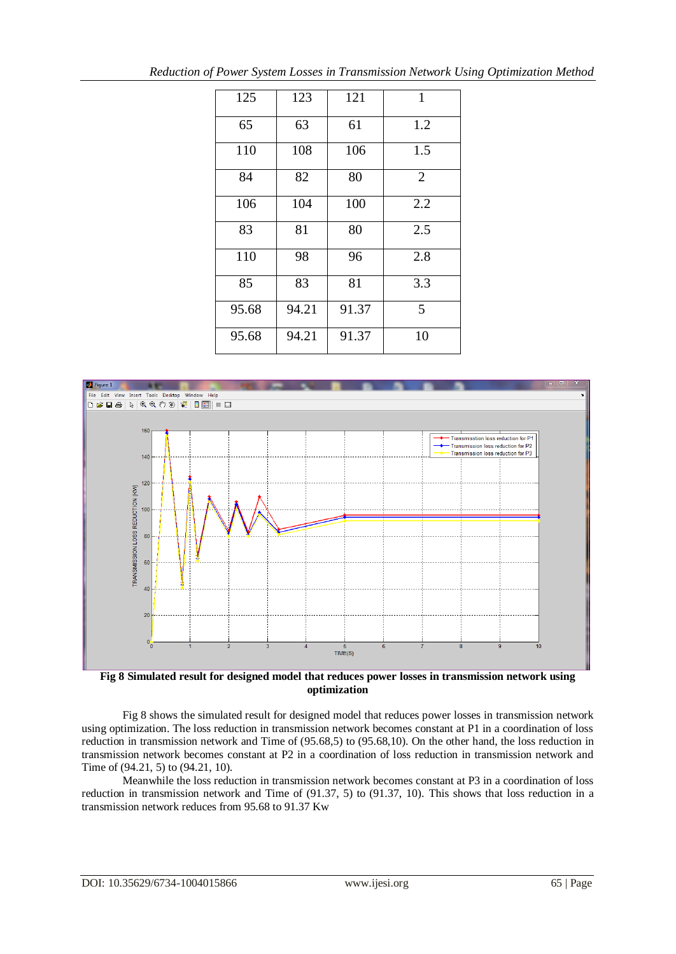| 125   | 123   | 121   | $\mathbf{1}$   |
|-------|-------|-------|----------------|
| 65    | 63    | 61    | 1.2            |
| 110   | 108   | 106   | 1.5            |
| 84    | 82    | 80    | $\overline{2}$ |
| 106   | 104   | 100   | 2.2            |
| 83    | 81    | 80    | 2.5            |
| 110   | 98    | 96    | 2.8            |
| 85    | 83    | 81    | 3.3            |
| 95.68 | 94.21 | 91.37 | 5              |
| 95.68 | 94.21 | 91.37 | 10             |



**Fig 8 Simulated result for designed model that reduces power losses in transmission network using optimization**

Fig 8 shows the simulated result for designed model that reduces power losses in transmission network using optimization. The loss reduction in transmission network becomes constant at P1 in a coordination of loss reduction in transmission network and Time of (95.68,5) to (95.68,10). On the other hand, the loss reduction in transmission network becomes constant at P2 in a coordination of loss reduction in transmission network and Time of (94.21, 5) to (94.21, 10).

Meanwhile the loss reduction in transmission network becomes constant at P3 in a coordination of loss reduction in transmission network and Time of (91.37, 5) to (91.37, 10). This shows that loss reduction in a transmission network reduces from 95.68 to 91.37 Kw